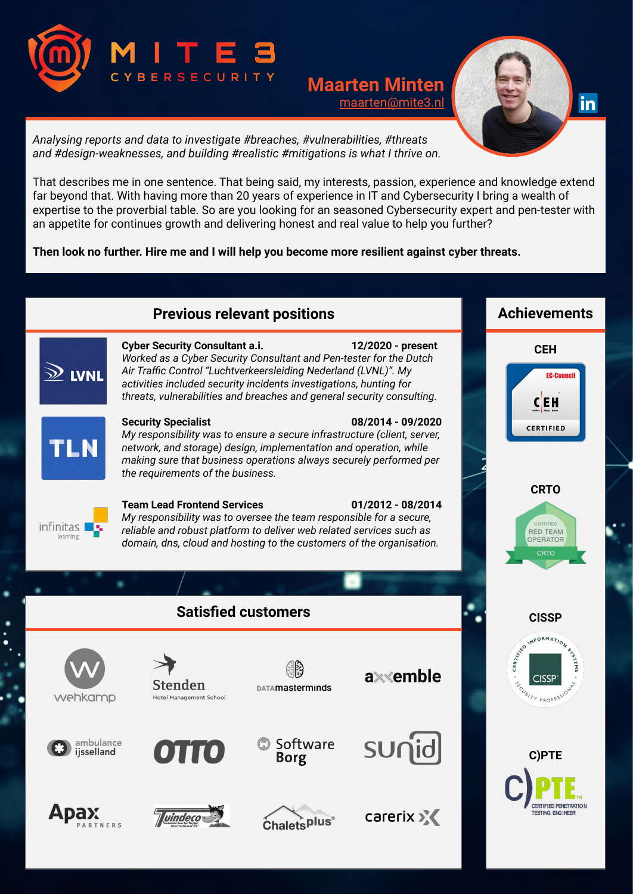

# **Maarten Minten** [maarten@mite3.nl](mailto:maarten@mite3.nl)



*Analysing reports and data to investigate #breaches, #vulnerabilities, #threats and #design-weaknesses, and building #realistic #mitigations is what I thrive on.*

That describes me in one sentence. That being said, my interests, passion, experience and knowledge extend far beyond that. With having more than 20 years of experience in IT and Cybersecurity I bring a wealth of expertise to the proverbial table. So are you looking for an seasoned Cybersecurity expert and pen-tester with an appetite for continues growth and delivering honest and real value to help you further?

**Then look no further. Hire me and I will help you become more resilient against cyber threats.**

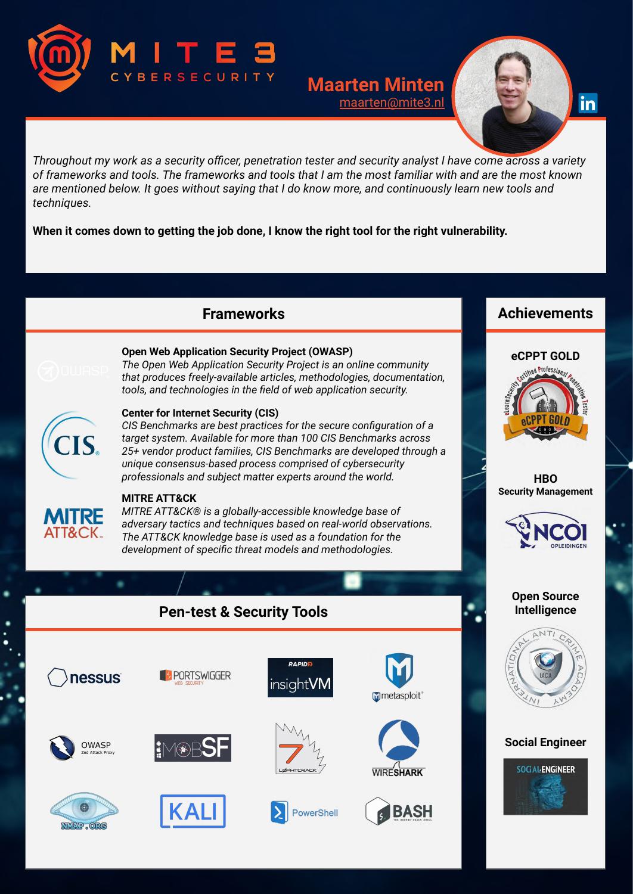

## **Maarten Minten** [maarten@mite3.nl](mailto:maarten@mite3.nl)



Throughout my work as a security officer, penetration tester and security analyst I have come across a variety of frameworks and tools. The frameworks and tools that I am the most familiar with and are the most known are mentioned below. It goes without saying that I do know more, and continuously learn new tools and *techniques.*

**When it comes down to getting the job done, I know the right tool for the right vulnerability.**

## **Frameworks**



### **Open Web Application Security Project (OWASP)**

*The Open Web Application Security Project is an online community that produces freely-available articles, methodologies, documentation, tools, and technologies in the field of web application security.*

# CIS.

#### **Center for Internet Security (CIS)**

*CIS Benchmarks are best practices for the secure configuration of a target system. Available for more than 100 CIS Benchmarks across 25+ vendor product families, CIS Benchmarks are developed through a unique consensus-based process comprised of cybersecurity professionals and subject matter experts around the world.*



## **MITRE ATT&CK**

*MITRE ATT&CK® is a globally-accessible knowledge base of adversary tactics and techniques based on real-world observations. The ATT&CK knowledge base is used as a foundation for the development of specific threat models and methodologies.*

# **Pen-test & Security Tools**



# **Achievements**



**HBO Security Management**



#### **Open Source Intelligence**



## **Social Engineer**